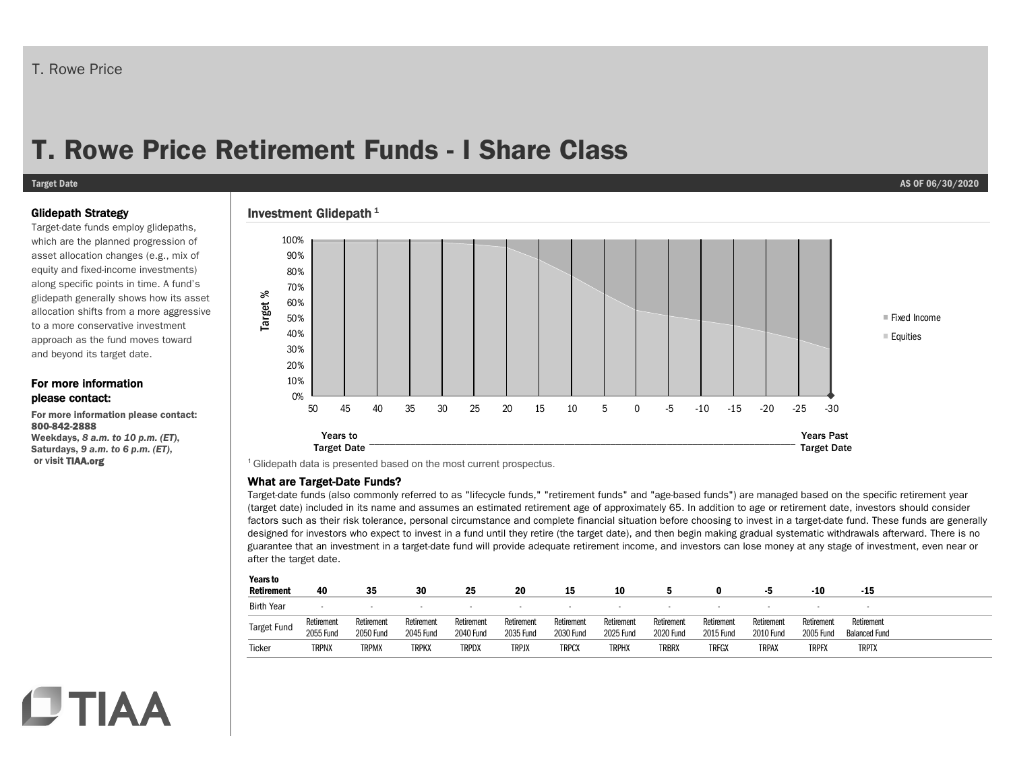# T. Rowe Price

# **T. Rowe Price Retirement Funds - I Share Class**

#### **Target Date AS OF 06/30/2020**

#### Glidepath Strategy

Target-date funds employ glidepaths, which are the planned progression of asset allocation changes (e.g., mix of equity and fixed-income investments) along specific points in time. A fund's glidepath generally shows how its asset allocation shifts from a more aggressive to a more conservative investment approach as the fund moves toward and beyond its target date.

#### For more information please contact:

For more information please contact: 800-842-2888 Weekdays, *8 a.m. to 10 p.m. (ET)*,

Saturdays, *9 a.m. to 6 p.m. (ET)*, or visit TIAA.org

**CTIAA** 

### Investment Glidepath $1$



<sup>1</sup> Glidepath data is presented based on the most current prospectus.

#### What are Target-Date Funds?

Target-date funds (also commonly referred to as "lifecycle funds," "retirement funds" and "age-based funds") are managed based on the specific retirement year (target date) included in its name and assumes an estimated retirement age of approximately 65. In addition to age or retirement date, investors should consider factors such as their risk tolerance, personal circumstance and complete financial situation before choosing to invest in a target-date fund. These funds are generally designed for investors who expect to invest in a fund until they retire (the target date), and then begin making gradual systematic withdrawals afterward. There is no guarantee that an investment in a target-date fund will provide adequate retirement income, and investors can lose money at any stage of investment, even near or after the target date.

| ×<br>. .<br>۰.<br>×<br>۰.<br>×<br>٠ |
|-------------------------------------|
|-------------------------------------|

| .<br><b>Retirement</b> | 40         | 35         | 30         | 25               | 20           | 15                       | 10         |                  |            |                  | -10              | -15                      |
|------------------------|------------|------------|------------|------------------|--------------|--------------------------|------------|------------------|------------|------------------|------------------|--------------------------|
| <b>Birth Year</b>      | $\sim$     |            |            | $\sim$           |              | $\overline{\phantom{a}}$ |            | $\sim$           |            |                  |                  | $\overline{\phantom{a}}$ |
|                        | Retirement | Retirement | Retirement | Retirement       | Retirement   | Retirement               | Retirement | Retirement       | Retirement | Retirement       | Retirement       | Retirement               |
| <b>Target Fund</b>     | 2055 Fund  | 2050 Fund  | 2045 Fund  | <b>2040 Fund</b> | 2035 Fund    | 2030 Fund                | 2025 Fund  | <b>2020 Fund</b> | 2015 Fund  | <b>2010 Fund</b> | <b>2005 Fund</b> | <b>Balanced Fund</b>     |
| Ticker                 | TRPNX      | TRPMX      | trpkx      | <b>TRPDX</b>     | <b>TRPJX</b> | TRPCX                    | TRPHX      | <b>TRBRX</b>     | TRFGX      | TRPAX            | <b>TRPFX</b>     | <b>TRPTX</b>             |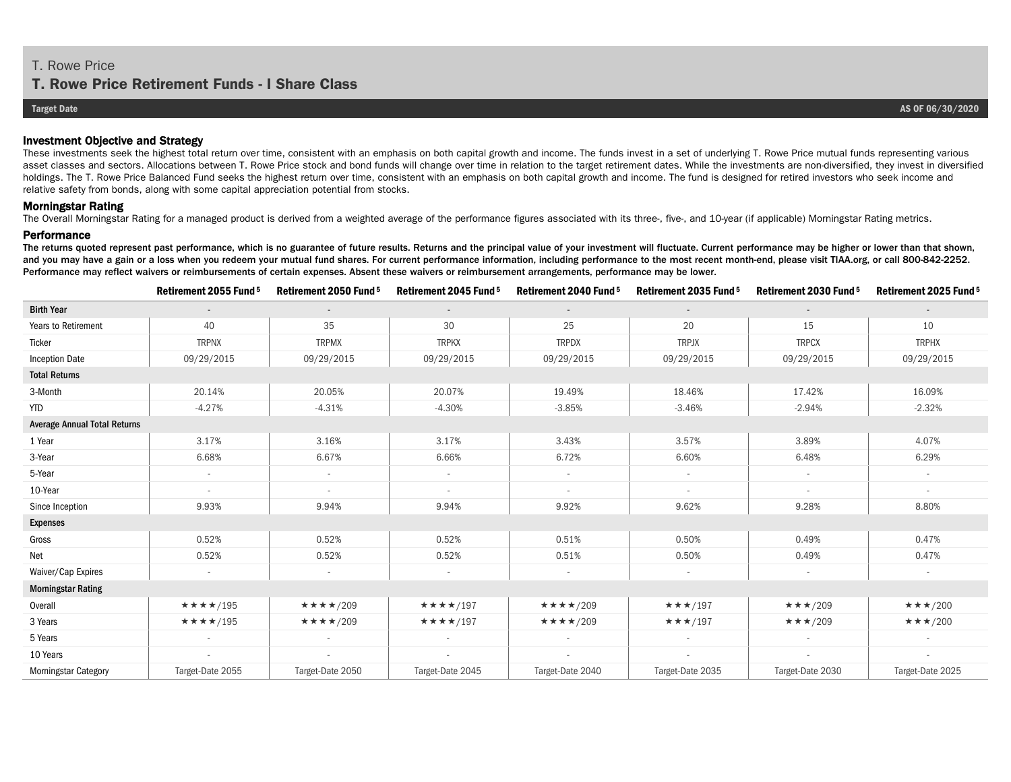## **T. Rowe Price Retirement Funds - I Share Class**

#### Investment Objective and Strategy

These investments seek the highest total return over time, consistent with an emphasis on both capital growth and income. The funds invest in a set of underlying T. Rowe Price mutual funds representing various asset classes and sectors. Allocations between T. Rowe Price stock and bond funds will change over time in relation to the target retirement dates. While the investments are non-diversified, they invest in diversified holdings. The T. Rowe Price Balanced Fund seeks the highest return over time, consistent with an emphasis on both capital growth and income. The fund is designed for retired investors who seek income and relative safety from bonds, along with some capital appreciation potential from stocks.

#### Morningstar Rating

The Overall Morningstar Rating for a managed product is derived from a weighted average of the performance figures associated with its three-, five-, and 10-year (if applicable) Morningstar Rating metrics.

#### **Performance**

The returns quoted represent past performance, which is no guarantee of future results. Returns and the principal value of your investment will fluctuate. Current performance may be higher or lower than that shown, and you may have a gain or a loss when you redeem your mutual fund shares. For current performance information, including performance to the most recent month-end, please visit TIAA.org, or call 800-842-2252. Performance may reflect waivers or reimbursements of certain expenses. Absent these waivers or reimbursement arrangements, performance may be lower.

|                                     | Retirement 2055 Fund <sup>5</sup> | Retirement 2050 Fund <sup>5</sup> | Retirement 2045 Fund <sup>5</sup> | Retirement 2040 Fund <sup>5</sup> | Retirement 2035 Fund 5    | Retirement 2030 Fund <sup>5</sup> | Retirement 2025 Fund <sup>5</sup> |  |  |
|-------------------------------------|-----------------------------------|-----------------------------------|-----------------------------------|-----------------------------------|---------------------------|-----------------------------------|-----------------------------------|--|--|
| <b>Birth Year</b>                   |                                   |                                   |                                   | $\sim$                            | $\overline{a}$            |                                   |                                   |  |  |
| Years to Retirement                 | 40                                | 35                                | 30                                | 25                                | 20                        | 15                                | 10                                |  |  |
| Ticker                              | <b>TRPNX</b>                      | <b>TRPMX</b>                      | <b>TRPKX</b>                      | <b>TRPDX</b>                      | <b>TRPJX</b>              | <b>TRPCX</b>                      | <b>TRPHX</b>                      |  |  |
| <b>Inception Date</b>               | 09/29/2015                        | 09/29/2015                        | 09/29/2015                        | 09/29/2015                        | 09/29/2015                | 09/29/2015                        | 09/29/2015                        |  |  |
| <b>Total Returns</b>                |                                   |                                   |                                   |                                   |                           |                                   |                                   |  |  |
| 3-Month                             | 20.14%                            | 20.05%                            | 20.07%                            | 19.49%                            | 18.46%                    | 17.42%                            | 16.09%                            |  |  |
| <b>YTD</b>                          | $-4.27%$                          | $-4.31%$                          | $-4.30%$                          | $-3.85%$                          | $-3.46%$                  | $-2.94%$                          | $-2.32%$                          |  |  |
| <b>Average Annual Total Returns</b> |                                   |                                   |                                   |                                   |                           |                                   |                                   |  |  |
| 1 Year                              | 3.17%                             | 3.16%                             | 3.17%                             | 3.43%                             | 3.57%                     | 3.89%                             | 4.07%                             |  |  |
| 3-Year                              | 6.68%                             | 6.67%                             | 6.66%                             | 6.72%                             | 6.60%                     | 6.48%                             | 6.29%                             |  |  |
| 5-Year                              | $\overline{\phantom{a}}$          | $\sim$                            | $\sim$                            | $\sim$                            | $\sim$                    | $\sim$                            | $\overline{\phantom{a}}$          |  |  |
| 10-Year                             | $\sim$                            | $\sim$                            |                                   | $\sim$                            | $\sim$                    | $\sim$                            | $\sim$                            |  |  |
| Since Inception                     | 9.93%                             | 9.94%                             | 9.94%                             | 9.92%                             | 9.62%                     | 9.28%                             | 8.80%                             |  |  |
| <b>Expenses</b>                     |                                   |                                   |                                   |                                   |                           |                                   |                                   |  |  |
| Gross                               | 0.52%                             | 0.52%                             | 0.52%                             | 0.51%                             | 0.50%                     | 0.49%                             | 0.47%                             |  |  |
| Net                                 | 0.52%                             | 0.52%                             | 0.52%                             | 0.51%                             | 0.50%                     | 0.49%                             | 0.47%                             |  |  |
| Waiver/Cap Expires                  | $\overline{\phantom{a}}$          | $\overline{\phantom{a}}$          |                                   | $\overline{\phantom{a}}$          |                           | $\sim$                            | $\overline{\phantom{a}}$          |  |  |
| <b>Morningstar Rating</b>           |                                   |                                   |                                   |                                   |                           |                                   |                                   |  |  |
| Overall                             | ★★★★/195                          | $\star\star\star\star$ /209       | ★★★★/197                          | ★★★★/209                          | $\star\star\star$ /197    | $\star\star\star$ /209            | $\star \star \star /200$          |  |  |
| 3 Years                             | $\star\star\star\star$ /195       | $\star\star\star\star$ /209       | $\star\star\star\star$ /197       | $\star\star\star\star$ /209       | $\star \star \star / 197$ | $\star \star \star /209$          | $\star \star \star /200$          |  |  |
| 5 Years                             |                                   |                                   |                                   |                                   |                           |                                   |                                   |  |  |
| 10 Years                            | $\sim$                            | $\sim$                            | $\sim$                            | $\sim$                            | $\sim$                    | $\sim$                            | $\overline{\phantom{a}}$          |  |  |
| <b>Morningstar Category</b>         | Target-Date 2055                  | Target-Date 2050                  | Target-Date 2045                  | Target-Date 2040                  | Target-Date 2035          | Target-Date 2030                  | Target-Date 2025                  |  |  |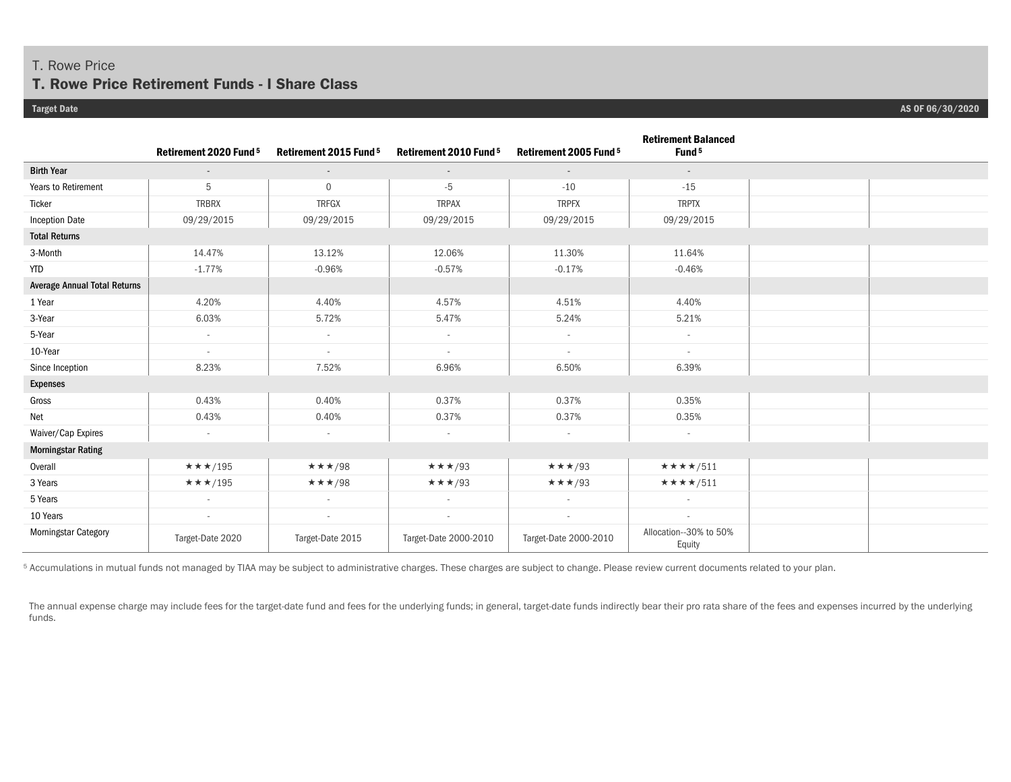### T. Rowe Price

### **T. Rowe Price Retirement Funds - I Share Class**

|                                     | Retirement 2020 Fund <sup>5</sup> | Retirement 2015 Fund <sup>5</sup> | Retirement 2010 Fund <sup>5</sup> | Retirement 2005 Fund 5 | <b>Retirement Balanced</b><br>Fund <sup>5</sup> |  |
|-------------------------------------|-----------------------------------|-----------------------------------|-----------------------------------|------------------------|-------------------------------------------------|--|
| <b>Birth Year</b>                   | $\sim$                            | $\sim$                            | $\sim$                            | $\sim$                 | $\sim$                                          |  |
| Years to Retirement                 | 5                                 | $\mathbf 0$                       | $-5$                              | $-10$                  | $-15$                                           |  |
| Ticker                              | <b>TRBRX</b>                      | <b>TRFGX</b>                      | <b>TRPAX</b>                      | <b>TRPFX</b>           | <b>TRPTX</b>                                    |  |
| <b>Inception Date</b>               | 09/29/2015                        | 09/29/2015                        | 09/29/2015                        | 09/29/2015             | 09/29/2015                                      |  |
| <b>Total Returns</b>                |                                   |                                   |                                   |                        |                                                 |  |
| 3-Month                             | 14.47%                            | 13.12%                            | 12.06%                            | 11.30%                 | 11.64%                                          |  |
| <b>YTD</b>                          | $-1.77%$                          | $-0.96%$                          | $-0.57%$                          | $-0.17%$               | $-0.46%$                                        |  |
| <b>Average Annual Total Returns</b> |                                   |                                   |                                   |                        |                                                 |  |
| 1 Year                              | 4.20%                             | 4.40%                             | 4.57%                             | 4.51%                  | 4.40%                                           |  |
| 3-Year                              | 6.03%                             | 5.72%                             | 5.47%                             | 5.24%                  | 5.21%                                           |  |
| 5-Year                              | $\sim$                            | $\sim$                            | $\sim$                            | $\sim$                 | $\sim$                                          |  |
| 10-Year                             | $\sim$                            | $\sim$                            | $\sim$                            | $\sim$                 | $\sim$                                          |  |
| Since Inception                     | 8.23%                             | 7.52%                             | 6.96%                             | 6.50%                  | 6.39%                                           |  |
| <b>Expenses</b>                     |                                   |                                   |                                   |                        |                                                 |  |
| Gross                               | 0.43%                             | 0.40%                             | 0.37%                             | 0.37%                  | 0.35%                                           |  |
| Net                                 | 0.43%                             | 0.40%                             | 0.37%                             | 0.37%                  | 0.35%                                           |  |
| Waiver/Cap Expires                  | $\overline{\phantom{a}}$          | $\sim$                            | $\sim$                            | $\sim$                 | $\sim$                                          |  |
| <b>Morningstar Rating</b>           |                                   |                                   |                                   |                        |                                                 |  |
| Overall                             | $\star \star \star$ /195          | $\star\star\star$ /98             | $\star\star\star$ /93             | $\star\star\star$ /93  | ★★★★/511                                        |  |
| 3 Years                             | $\star \star \star$ /195          | $\star\star\star/98$              | $\star \star \star /93$           | $\star\star\star$ /93  | ★★★★/511                                        |  |
| 5 Years                             | $\sim$                            | $\sim$                            | $\sim$                            | $\sim$                 | $\overline{\phantom{a}}$                        |  |
| 10 Years                            | $\sim$                            | $\sim$                            | $\sim$                            | $\sim$                 | $\overline{\phantom{a}}$                        |  |
| Morningstar Category                | Target-Date 2020                  | Target-Date 2015                  | Target-Date 2000-2010             | Target-Date 2000-2010  | Allocation--30% to 50%<br>Equity                |  |

5 Accumulations in mutual funds not managed by TIAA may be subject to administrative charges. These charges are subject to change. Please review current documents related to your plan.

The annual expense charge may include fees for the target-date fund and fees for the underlying funds; in general, target-date funds indirectly bear their pro rata share of the fees and expenses incurred by the underlying funds.

**Target Date AS OF 06/30/2020**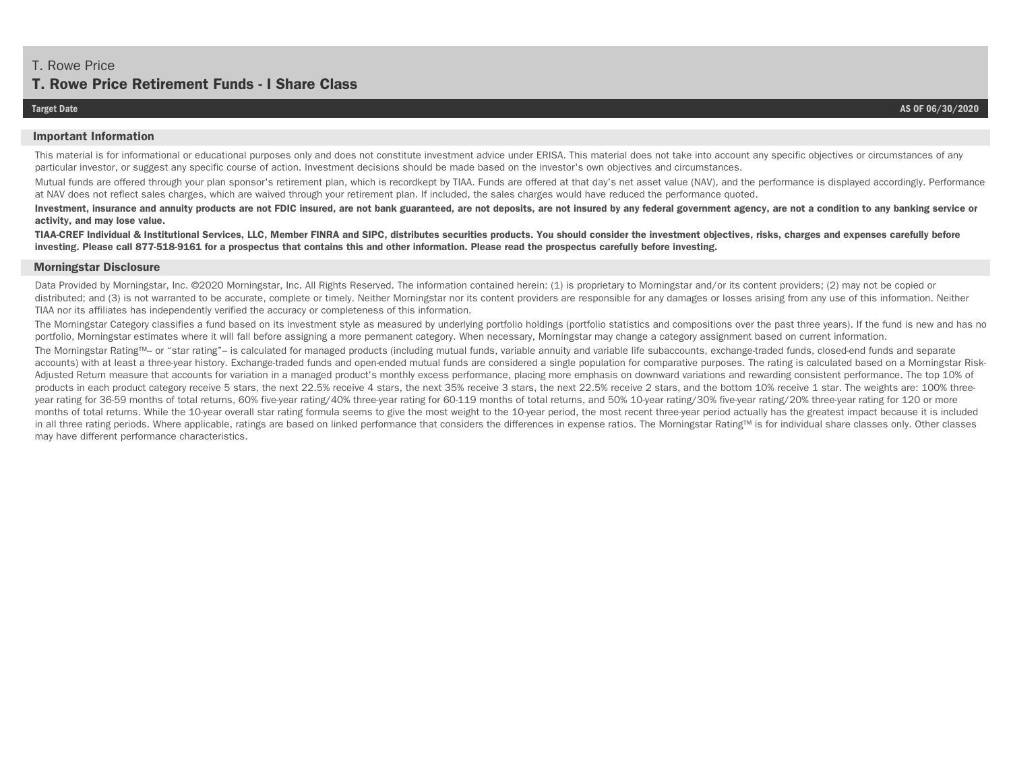# **T. Rowe Price Retirement Funds - I Share Class**

#### **Important Information**

This material is for informational or educational purposes only and does not constitute investment advice under ERISA. This material does not take into account any specific objectives or circumstances of any particular investor, or suggest any specific course of action. Investment decisions should be made based on the investor's own objectives and circumstances.

Mutual funds are offered through your plan sponsor's retirement plan, which is recordkept by TIAA. Funds are offered at that day's net asset value (NAV), and the performance is displayed accordingly. Performance at NAV does not reflect sales charges, which are waived through your retirement plan. If included, the sales charges would have reduced the performance quoted.

Investment, insurance and annuity products are not FDIC insured, are not bank guaranteed, are not deposits, are not insured by any federal government agency, are not a condition to any banking service or **activity, and may lose value.**

**TIAA-CREF Individual & Institutional Services, LLC, Member FINRA and SIPC, distributes securities products. You should consider the investment objectives, risks, charges and expenses carefully before investing. Please call 877-518-9161 for a prospectus that contains this and other information. Please read the prospectus carefully before investing.** 

#### **Morningstar Disclosure**

Data Provided by Morningstar, Inc. ©2020 Morningstar, Inc. All Rights Reserved. The information contained herein: (1) is proprietary to Morningstar and/or its content providers; (2) may not be copied or distributed; and (3) is not warranted to be accurate, complete or timely. Neither Morningstar nor its content providers are responsible for any damages or losses arising from any use of this information. Neither TIAA nor its affiliates has independently verified the accuracy or completeness of this information.

The Morningstar Category classifies a fund based on its investment style as measured by underlying portfolio holdings (portfolio statistics and compositions over the past three years). If the fund is new and has no portfolio, Morningstar estimates where it will fall before assigning a more permanent category. When necessary, Morningstar may change a category assignment based on current information.

The Morningstar Rating™– or "star rating"– is calculated for managed products (including mutual funds, variable annuity and variable life subaccounts, exchange-traded funds, closed-end funds and separate accounts) with at least a three-year history. Exchange-traded funds and open-ended mutual funds are considered a single population for comparative purposes. The rating is calculated based on a Morningstar Risk-Adjusted Return measure that accounts for variation in a managed product's monthly excess performance, placing more emphasis on downward variations and rewarding consistent performance. The top 10% of products in each product category receive 5 stars, the next 22.5% receive 4 stars, the next 35% receive 3 stars, the next 22.5% receive 2 stars, and the bottom 10% receive 1 star. The weights are: 100% threeyear rating for 36-59 months of total returns, 60% five-year rating/40% three-year rating for 60-119 months of total returns, and 50% 10-year rating/30% five-year rating/20% three-year rating for 120 or more months of total returns. While the 10-year overall star rating formula seems to give the most weight to the 10-year period, the most recent three-year period actually has the greatest impact because it is included in all three rating periods. Where applicable, ratings are based on linked performance that considers the differences in expense ratios. The Morningstar Rating™ is for individual share classes only. Other classes may have different performance characteristics.